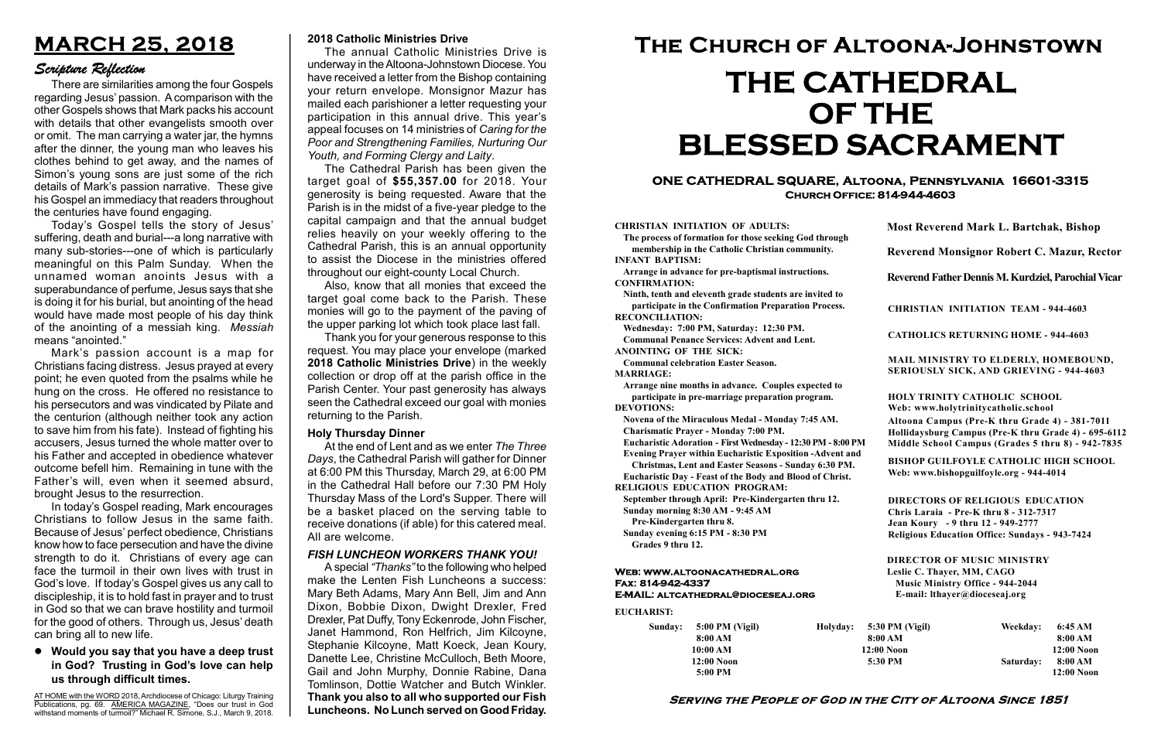#### Serving the People of God in the City of Altoona Since 1851

Sunday: 5:00 PM (Vigil) 8:00 AM 10:00 AM 12:00 Noon 5:00 PM

Holyday:

#### Web: www.altoonacathedral.org Fax: 814-942-4337 E-MAIL: altcathedral@dioceseaj.org

EUCHARIST:

#### CHRISTIAN INITIATION OF ADULTS:

The process of formation for those seeking God through membership in the Catholic Christian community. INFANT BAPTISM:

Arrange in advance for pre-baptismal instructions. CONFIRMATION:

Ninth, tenth and eleventh grade students are invited to participate in the Confirmation Preparation Process. RECONCILIATION:

Wednesday: 7:00 PM, Saturday: 12:30 PM. Communal Penance Services: Advent and Lent.

ANOINTING OF THE SICK:

Communal celebration Easter Season. MARRIAGE:

Arrange nine months in advance. Couples expected to participate in pre-marriage preparation program. DEVOTIONS:

Novena of the Miraculous Medal - Monday 7:45 AM.

Charismatic Prayer - Monday 7:00 PM. Eucharistic Adoration - First Wednesday - 12:30 PM - 8:00 PM

Evening Prayer within Eucharistic Exposition -Advent and

Christmas, Lent and Easter Seasons - Sunday 6:30 PM.

|                       | <b>Most Reverend Mark L. Bartchak, Bishop</b>                                                                                                                                   |           |                         |  |
|-----------------------|---------------------------------------------------------------------------------------------------------------------------------------------------------------------------------|-----------|-------------------------|--|
|                       | Reverend Monsignor Robert C. Mazur, Rector                                                                                                                                      |           |                         |  |
|                       | Reverend Father Dennis M. Kurdziel, Parochial Vicar                                                                                                                             |           |                         |  |
|                       | <b>CHRISTIAN INITIATION TEAM - 944-4603</b>                                                                                                                                     |           |                         |  |
|                       | <b>CATHOLICS RETURNING HOME - 944-4603</b>                                                                                                                                      |           |                         |  |
|                       | MAIL MINISTRY TO ELDERLY, HOMEBOUND,<br>SERIOUSLY SICK, AND GRIEVING - 944-4603                                                                                                 |           |                         |  |
|                       | <b>HOLY TRINITY CATHOLIC SCHOOL</b><br>Web: www.holytrinitycatholic.school                                                                                                      |           |                         |  |
| М                     | Altoona Campus (Pre-K thru Grade 4) - 381-7011<br>Hollidaysburg Campus (Pre-K thru Grade 4) - 695-6112<br>Middle School Campus (Grades 5 thru 8) - 942-7835                     |           |                         |  |
| ł                     | <b>BISHOP GUILFOYLE CATHOLIC HIGH SCHOOL</b><br>Web: www.bishopguilfoyle.org - 944-4014                                                                                         |           |                         |  |
|                       | <b>DIRECTORS OF RELIGIOUS EDUCATION</b><br>Chris Laraia - Pre-K thru 8 - 312-7317<br>Jean Koury - 9 thru 12 - 949-2777<br><b>Religious Education Office: Sundays - 943-7424</b> |           |                         |  |
|                       | <b>DIRECTOR OF MUSIC MINISTRY</b><br>Leslie C. Thayer, MM, CAGO<br><b>Music Ministry Office - 944-2044</b><br>E-mail: lthayer@dioceseaj.org                                     |           |                         |  |
| 5:30 PM (Vigil)       |                                                                                                                                                                                 | Weekday:  | 6:45 AM                 |  |
| 8:00 AM<br>12:00 Noon |                                                                                                                                                                                 |           | 8:00 AM<br>12:00 Noon   |  |
| 5:30 PM               |                                                                                                                                                                                 | Saturday: | 8:00 AM<br>$12:00$ Noon |  |
|                       |                                                                                                                                                                                 |           |                         |  |

Eucharistic Day - Feast of the Body and Blood of Christ. RELIGIOUS EDUCATION PROGRAM:

September through April: Pre-Kindergarten thru 12. Sunday morning 8:30 AM - 9:45 AM

Pre-Kindergarten thru 8.

Sunday evening 6:15 PM - 8:30 PM Grades 9 thru 12.

#### ONE CATHEDRAL SQUARE, Altoona, Pennsylvania 16601-3315 Church Office: 814-944-4603

# The Church of Altoona-Johnstown THE CATHEDRAL OF THE BLESSED SACRAMENT

#### 2018 Catholic Ministries Drive

The annual Catholic Ministries Drive is underway in the Altoona-Johnstown Diocese. You have received a letter from the Bishop containing your return envelope. Monsignor Mazur has mailed each parishioner a letter requesting your participation in this annual drive. This year's appeal focuses on 14 ministries of Caring for the Poor and Strengthening Families, Nurturing Our Youth, and Forming Clergy and Laity.

The Cathedral Parish has been given the target goal of \$55,357.00 for 2018. Your generosity is being requested. Aware that the Parish is in the midst of a five-year pledge to the capital campaign and that the annual budget relies heavily on your weekly offering to the Cathedral Parish, this is an annual opportunity to assist the Diocese in the ministries offered throughout our eight-county Local Church.

At the end of Lent and as we enter The Three Days, the Cathedral Parish will gather for Dinner at 6:00 PM this Thursday, March 29, at 6:00 PM in the Cathedral Hall before our 7:30 PM Holy Thursday Mass of the Lord's Supper. There will be a basket placed on the serving table to receive donations (if able) for this catered meal. All are welcome.

Also, know that all monies that exceed the target goal come back to the Parish. These monies will go to the payment of the paving of the upper parking lot which took place last fall.

Thank you for your generous response to this request. You may place your envelope (marked 2018 Catholic Ministries Drive) in the weekly collection or drop off at the parish office in the Parish Center. Your past generosity has always seen the Cathedral exceed our goal with monies returning to the Parish.

## MARCH 25, 2018

### Scripture Reflection

Would you say that you have a deep trust in God? Trusting in God's love can help us through difficult times.

There are similarities among the four Gospels regarding Jesus' passion. A comparison with the other Gospels shows that Mark packs his account with details that other evangelists smooth over or omit. The man carrying a water jar, the hymns after the dinner, the young man who leaves his clothes behind to get away, and the names of Simon's young sons are just some of the rich details of Mark's passion narrative. These give his Gospel an immediacy that readers throughout the centuries have found engaging.

Today's Gospel tells the story of Jesus' suffering, death and burial---a long narrative with many sub-stories---one of which is particularly meaningful on this Palm Sunday. When the unnamed woman anoints Jesus with a superabundance of perfume, Jesus says that she is doing it for his burial, but anointing of the head would have made most people of his day think of the anointing of a messiah king. Messiah means "anointed."

Mark's passion account is a map for Christians facing distress. Jesus prayed at every point; he even quoted from the psalms while he hung on the cross. He offered no resistance to his persecutors and was vindicated by Pilate and the centurion (although neither took any action to save him from his fate). Instead of fighting his accusers, Jesus turned the whole matter over to his Father and accepted in obedience whatever outcome befell him. Remaining in tune with the Father's will, even when it seemed absurd, brought Jesus to the resurrection.

In today's Gospel reading, Mark encourages Christians to follow Jesus in the same faith. Because of Jesus' perfect obedience, Christians know how to face persecution and have the divine strength to do it. Christians of every age can face the turmoil in their own lives with trust in God's love. If today's Gospel gives us any call to discipleship, it is to hold fast in prayer and to trust in God so that we can brave hostility and turmoil for the good of others. Through us, Jesus' death can bring all to new life.

#### Holy Thursday Dinner

#### FISH LUNCHEON WORKERS THANK YOU!

A special "Thanks" to the following who helped make the Lenten Fish Luncheons a success: Mary Beth Adams, Mary Ann Bell, Jim and Ann Dixon, Bobbie Dixon, Dwight Drexler, Fred Drexler, Pat Duffy, Tony Eckenrode, John Fischer, Janet Hammond, Ron Helfrich, Jim Kilcoyne, Stephanie Kilcoyne, Matt Koeck, Jean Koury, Danette Lee, Christine McCulloch, Beth Moore, Gail and John Murphy, Donnie Rabine, Dana Tomlinson, Dottie Watcher and Butch Winkler. Thank you also to all who supported our Fish Luncheons. No Lunch served on Good Friday.

AT HOME with the WORD 2018, Archdiocese of Chicago: Liturgy Training Publications, pg. 69. AMERICA MAGAZINE, "Does our trust in God withstand moments of turmoil?" Michael R. Simone, S.J., March 9, 2018.